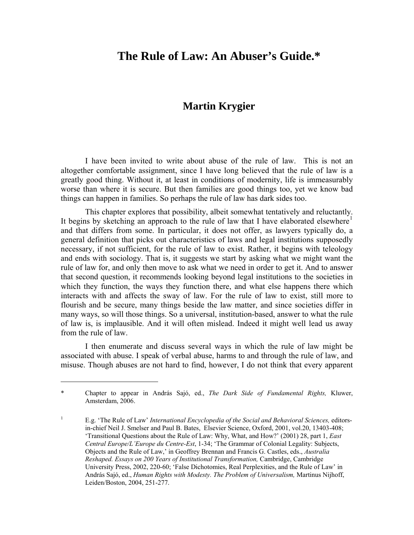# **The Rule of Law: An Abuser's Guide.\***

## **Martin Krygier**

I have been invited to write about abuse of the rule of law. This is not an altogether comfortable assignment, since I have long believed that the rule of law is a greatly good thing. Without it, at least in conditions of modernity, life is immeasurably worse than where it is secure. But then families are good things too, yet we know bad things can happen in families. So perhaps the rule of law has dark sides too.

This chapter explores that possibility, albeit somewhat tentatively and reluctantly. It begins by sketching an approach to the rule of law that I have elaborated elsewhere<sup>[1](#page-0-0)</sup> and that differs from some. In particular, it does not offer, as lawyers typically do, a general definition that picks out characteristics of laws and legal institutions supposedly necessary, if not sufficient, for the rule of law to exist. Rather, it begins with teleology and ends with sociology. That is, it suggests we start by asking what we might want the rule of law for, and only then move to ask what we need in order to get it. And to answer that second question, it recommends looking beyond legal institutions to the societies in which they function, the ways they function there, and what else happens there which interacts with and affects the sway of law. For the rule of law to exist, still more to flourish and be secure, many things beside the law matter, and since societies differ in many ways, so will those things. So a universal, institution-based, answer to what the rule of law is, is implausible. And it will often mislead. Indeed it might well lead us away from the rule of law.

I then enumerate and discuss several ways in which the rule of law might be associated with abuse. I speak of verbal abuse, harms to and through the rule of law, and misuse. Though abuses are not hard to find, however, I do not think that every apparent

1

<span id="page-0-0"></span><sup>\*</sup> Chapter to appear in András Sajó, ed., *The Dark Side of Fundamental Rights,* Kluwer, Amsterdam, 2006.

<sup>1</sup> E.g. 'The Rule of Law' *International Encyclopedia of the Social and Behavioral Sciences,* editorsin-chief Neil J. Smelser and Paul B. Bates, Elsevier Science, Oxford, 2001, vol.20, 13403-408; 'Transitional Questions about the Rule of Law: Why, What, and How?' (2001) 28, part 1, *East Central Europe/L'Europe du Centre-Est*, 1-34; 'The Grammar of Colonial Legality: Subjects, Objects and the Rule of Law,' in Geoffrey Brennan and Francis G. Castles, eds., *Australia Reshaped. Essays on 200 Years of Institutional Transformation,* Cambridge, Cambridge University Press, 2002, 220-60; 'False Dichotomies, Real Perplexities, and the Rule of Law' in András Sajó, ed., *Human Rights with Modesty. The Problem of Universalism,* Martinus Nijhoff, Leiden/Boston, 2004, 251-277.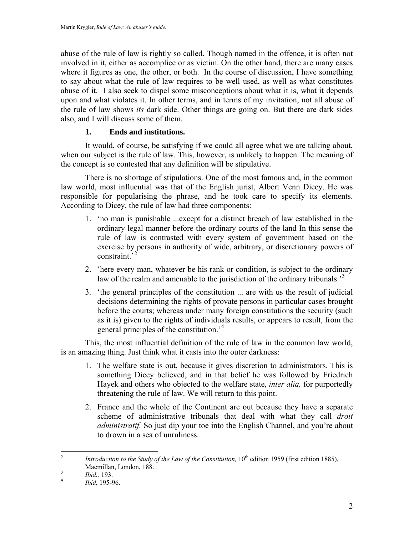abuse of the rule of law is rightly so called. Though named in the offence, it is often not involved in it, either as accomplice or as victim. On the other hand, there are many cases where it figures as one, the other, or both. In the course of discussion, I have something to say about what the rule of law requires to be well used, as well as what constitutes abuse of it. I also seek to dispel some misconceptions about what it is, what it depends upon and what violates it. In other terms, and in terms of my invitation, not all abuse of the rule of law shows *its* dark side. Other things are going on. But there are dark sides also, and I will discuss some of them.

#### **1. Ends and institutions.**

It would, of course, be satisfying if we could all agree what we are talking about, when our subject is the rule of law. This, however, is unlikely to happen. The meaning of the concept is so contested that any definition will be stipulative.

There is no shortage of stipulations. One of the most famous and, in the common law world, most influential was that of the English jurist, Albert Venn Dicey. He was responsible for popularising the phrase, and he took care to specify its elements. According to Dicey, the rule of law had three components:

- 1. 'no man is punishable ...except for a distinct breach of law established in the ordinary legal manner before the ordinary courts of the land In this sense the rule of law is contrasted with every system of government based on the exercise by persons in authority of wide, arbitrary, or discretionary powers of constraint.<sup>'[2](#page-1-0)</sup>
- 2. 'here every man, whatever be his rank or condition, is subject to the ordinary law of the realm and amenable to the jurisdiction of the ordinary tribunals.<sup>[3](#page-1-1)</sup>
- 3. 'the general principles of the constitution ... are with us the result of judicial decisions determining the rights of provate persons in particular cases brought before the courts; whereas under many foreign constitutions the security (such as it is) given to the rights of individuals results, or appears to result, from the general principles of the constitution.'[4](#page-1-2)

This, the most influential definition of the rule of law in the common law world, is an amazing thing. Just think what it casts into the outer darkness:

- 1. The welfare state is out, because it gives discretion to administrators. This is something Dicey believed, and in that belief he was followed by Friedrich Hayek and others who objected to the welfare state, *inter alia,* for purportedly threatening the rule of law. We will return to this point.
- 2. France and the whole of the Continent are out because they have a separate scheme of administrative tribunals that deal with what they call *droit administratif.* So just dip your toe into the English Channel, and you're about to drown in a sea of unruliness.

<span id="page-1-0"></span> $\frac{1}{2}$ *Introduction to the Study of the Law of the Constitution,*  $10^{th}$  edition 1959 (first edition 1885), Macmillan, London, 188.<br> $\frac{1}{3}$   $\frac{1}{3}$ 

<span id="page-1-2"></span><span id="page-1-1"></span><sup>&</sup>lt;sup>3</sup> *Ibid.,* 193.

*Ibid,* 195-96.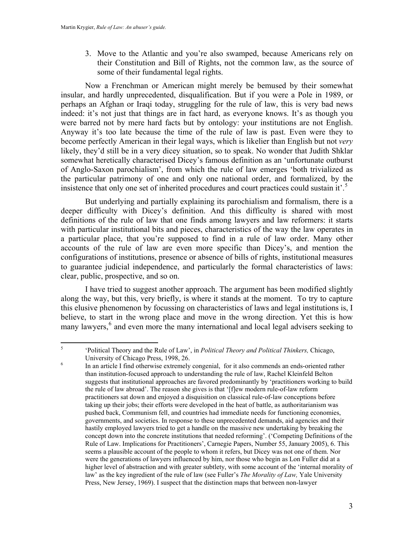3. Move to the Atlantic and you're also swamped, because Americans rely on their Constitution and Bill of Rights, not the common law, as the source of some of their fundamental legal rights.

Now a Frenchman or American might merely be bemused by their somewhat insular, and hardly unprecedented, disqualification. But if you were a Pole in 1989, or perhaps an Afghan or Iraqi today, struggling for the rule of law, this is very bad news indeed: it's not just that things are in fact hard, as everyone knows. It's as though you were barred not by mere hard facts but by ontology: your institutions are not English. Anyway it's too late because the time of the rule of law is past. Even were they to become perfectly American in their legal ways, which is likelier than English but not *very* likely, they'd still be in a very dicey situation, so to speak. No wonder that Judith Shklar somewhat heretically characterised Dicey's famous definition as an 'unfortunate outburst of Anglo-Saxon parochialism', from which the rule of law emerges 'both trivialized as the particular patrimony of one and only one national order, and formalized, by the insistence that only one set of inherited procedures and court practices could sustain it'.<sup>[5](#page-2-0)</sup>

But underlying and partially explaining its parochialism and formalism, there is a deeper difficulty with Dicey's definition. And this difficulty is shared with most definitions of the rule of law that one finds among lawyers and law reformers: it starts with particular institutional bits and pieces, characteristics of the way the law operates in a particular place, that you're supposed to find in a rule of law order. Many other accounts of the rule of law are even more specific than Dicey's, and mention the configurations of institutions, presence or absence of bills of rights, institutional measures to guarantee judicial independence, and particularly the formal characteristics of laws: clear, public, prospective, and so on.

I have tried to suggest another approach. The argument has been modified slightly along the way, but this, very briefly, is where it stands at the moment. To try to capture this elusive phenomenon by focussing on characteristics of laws and legal institutions is, I believe, to start in the wrong place and move in the wrong direction. Yet this is how many lawyers,<sup>[6](#page-2-1)</sup> and even more the many international and local legal advisers seeking to

<span id="page-2-0"></span> 5 'Political Theory and the Rule of Law', in *Political Theory and Political Thinkers,* Chicago, University of Chicago Press, 1998, 26.

<span id="page-2-1"></span>In an article I find otherwise extremely congenial, for it also commends an ends-oriented rather than institution-focused approach to understanding the rule of law, Rachel Kleinfeld Belton suggests that institutional approaches are favored predominantly by 'practitioners working to build the rule of law abroad'. The reason she gives is that '[f]ew modern rule-of-law reform practitioners sat down and enjoyed a disquisition on classical rule-of-law conceptions before taking up their jobs; their efforts were developed in the heat of battle, as authoritarianism was pushed back, Communism fell, and countries had immediate needs for functioning economies, governments, and societies. In response to these unprecedented demands, aid agencies and their hastily employed lawyers tried to get a handle on the massive new undertaking by breaking the concept down into the concrete institutions that needed reforming'. ('Competing Definitions of the Rule of Law. Implications for Practitioners', Carnegie Papers, Number 55, January 2005), 6. This seems a plausible account of the people to whom it refers, but Dicey was not one of them. Nor were the generations of lawyers influenced by him, nor those who begin as Lon Fuller did at a higher level of abstraction and with greater subtlety, with some account of the 'internal morality of law' as the key ingredient of the rule of law (see Fuller's *The Morality of Law,* Yale University Press, New Jersey, 1969). I suspect that the distinction maps that between non-lawyer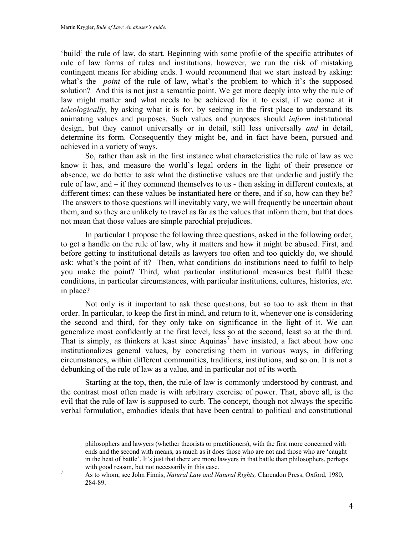'build' the rule of law, do start. Beginning with some profile of the specific attributes of rule of law forms of rules and institutions, however, we run the risk of mistaking contingent means for abiding ends. I would recommend that we start instead by asking: what's the *point* of the rule of law, what's the problem to which it's the supposed solution? And this is not just a semantic point. We get more deeply into why the rule of law might matter and what needs to be achieved for it to exist, if we come at it *teleologically*, by asking what it is for, by seeking in the first place to understand its animating values and purposes. Such values and purposes should *inform* institutional design, but they cannot universally or in detail, still less universally *and* in detail, determine its form. Consequently they might be, and in fact have been, pursued and achieved in a variety of ways.

So, rather than ask in the first instance what characteristics the rule of law as we know it has, and measure the world's legal orders in the light of their presence or absence, we do better to ask what the distinctive values are that underlie and justify the rule of law, and – if they commend themselves to us - then asking in different contexts, at different times: can these values be instantiated here or there, and if so, how can they be? The answers to those questions will inevitably vary, we will frequently be uncertain about them, and so they are unlikely to travel as far as the values that inform them, but that does not mean that those values are simple parochial prejudices.

In particular I propose the following three questions, asked in the following order, to get a handle on the rule of law, why it matters and how it might be abused. First, and before getting to institutional details as lawyers too often and too quickly do, we should ask: what's the point of it? Then, what conditions do institutions need to fulfil to help you make the point? Third, what particular institutional measures best fulfil these conditions, in particular circumstances, with particular institutions, cultures, histories, *etc.* in place?

Not only is it important to ask these questions, but so too to ask them in that order. In particular, to keep the first in mind, and return to it, whenever one is considering the second and third, for they only take on significance in the light of it. We can generalize most confidently at the first level, less so at the second, least so at the third. That is simply, as thinkers at least since  $Aquinas<sup>7</sup>$  $Aquinas<sup>7</sup>$  $Aquinas<sup>7</sup>$  have insisted, a fact about how one institutionalizes general values, by concretising them in various ways, in differing circumstances, within different communities, traditions, institutions, and so on. It is not a debunking of the rule of law as a value, and in particular not of its worth.

Starting at the top, then, the rule of law is commonly understood by contrast, and the contrast most often made is with arbitrary exercise of power. That, above all, is the evil that the rule of law is supposed to curb. The concept, though not always the specific verbal formulation, embodies ideals that have been central to political and constitutional

<span id="page-3-0"></span>

philosophers and lawyers (whether theorists or practitioners), with the first more concerned with ends and the second with means, as much as it does those who are not and those who are 'caught in the heat of battle'. It's just that there are more lawyers in that battle than philosophers, perhaps with good reason, but not necessarily in this case.

As to whom, see John Finnis, *Natural Law and Natural Rights,* Clarendon Press, Oxford, 1980, 284-89.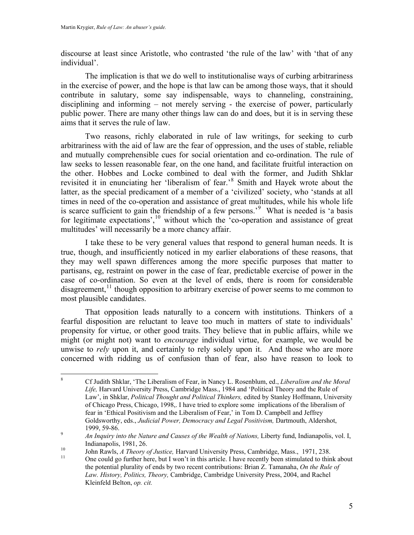discourse at least since Aristotle, who contrasted 'the rule of the law' with 'that of any individual'.

The implication is that we do well to institutionalise ways of curbing arbitrariness in the exercise of power, and the hope is that law can be among those ways, that it should contribute in salutary, some say indispensable, ways to channeling, constraining, disciplining and informing – not merely serving - the exercise of power, particularly public power. There are many other things law can do and does, but it is in serving these aims that it serves the rule of law.

Two reasons, richly elaborated in rule of law writings, for seeking to curb arbitrariness with the aid of law are the fear of oppression, and the uses of stable, reliable and mutually comprehensible cues for social orientation and co-ordination. The rule of law seeks to lessen reasonable fear, on the one hand, and facilitate fruitful interaction on the other. Hobbes and Locke combined to deal with the former, and Judith Shklar revisited it in enunciating her 'liberalism of fear.<sup>[8](#page-4-0)</sup> Smith and Hayek wrote about the latter, as the special predicament of a member of a 'civilized' society, who 'stands at all times in need of the co-operation and assistance of great multitudes, while his whole life is scarce sufficient to gain the friendship of a few persons.'[9](#page-4-1) What is needed is 'a basis for legitimate expectations',<sup>[10](#page-4-2)</sup> without which the 'co-operation and assistance of great multitudes' will necessarily be a more chancy affair.

I take these to be very general values that respond to general human needs. It is true, though, and insufficiently noticed in my earlier elaborations of these reasons, that they may well spawn differences among the more specific purposes that matter to partisans, eg, restraint on power in the case of fear, predictable exercise of power in the case of co-ordination. So even at the level of ends, there is room for considerable disagreement, $11$  though opposition to arbitrary exercise of power seems to me common to most plausible candidates.

That opposition leads naturally to a concern with institutions. Thinkers of a fearful disposition are reluctant to leave too much in matters of state to individuals' propensity for virtue, or other good traits. They believe that in public affairs, while we might (or might not) want to *encourage* individual virtue, for example, we would be unwise to *rely* upon it, and certainly to rely solely upon it. And those who are more concerned with ridding us of confusion than of fear, also have reason to look to

<span id="page-4-0"></span> 8 Cf Judith Shklar, 'The Liberalism of Fear, in Nancy L. Rosenblum, ed., *Liberalism and the Moral Life,* Harvard University Press, Cambridge Mass., 1984 and 'Political Theory and the Rule of Law', in Shklar, *Political Thought and Political Thinkers,* edited by Stanley Hoffmann, University of Chicago Press, Chicago, 1998,. I have tried to explore some implications of the liberalism of fear in 'Ethical Positivism and the Liberalism of Fear,' in Tom D. Campbell and Jeffrey Goldsworthy, eds., *Judicial Power, Democracy and Legal Positivism,* Dartmouth, Aldershot,  $1999, 59-86.$ 

<span id="page-4-1"></span>*An Inquiry into the Nature and Causes of the Wealth of Nations,* Liberty fund, Indianapolis, vol. I,

<span id="page-4-2"></span>Indianapolis, 1981, 26.<br>
John Rawls, *A Theory of Justice*, Harvard University Press, Cambridge, Mass., 1971, 238.<br>
One could go further here, but I won't in this article. I have recently been stimulated to think about

<span id="page-4-3"></span>the potential plurality of ends by two recent contributions: Brian Z. Tamanaha, *On the Rule of Law. History, Politics, Theory,* Cambridge, Cambridge University Press, 2004, and Rachel Kleinfeld Belton, *op. cit.*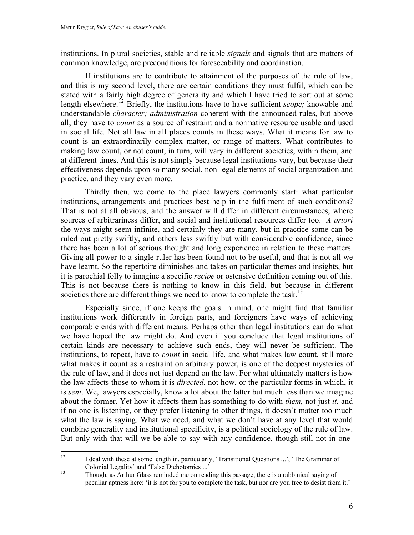institutions. In plural societies, stable and reliable *signals* and signals that are matters of common knowledge, are preconditions for foreseeability and coordination.

If institutions are to contribute to attainment of the purposes of the rule of law, and this is my second level, there are certain conditions they must fulfil, which can be stated with a fairly high degree of generality and which I have tried to sort out at some length elsewhere.<sup>[12](#page-5-0)</sup> Briefly, the institutions have to have sufficient *scope*; knowable and understandable *character; administration* coherent with the announced rules, but above all, they have to *count* as a source of restraint and a normative resource usable and used in social life. Not all law in all places counts in these ways. What it means for law to count is an extraordinarily complex matter, or range of matters. What contributes to making law count, or not count, in turn, will vary in different societies, within them, and at different times. And this is not simply because legal institutions vary, but because their effectiveness depends upon so many social, non-legal elements of social organization and practice, and they vary even more.

Thirdly then, we come to the place lawyers commonly start: what particular institutions, arrangements and practices best help in the fulfilment of such conditions? That is not at all obvious, and the answer will differ in different circumstances, where sources of arbitrariness differ, and social and institutional resources differ too. *A priori*  the ways might seem infinite, and certainly they are many, but in practice some can be ruled out pretty swiftly, and others less swiftly but with considerable confidence, since there has been a lot of serious thought and long experience in relation to these matters. Giving all power to a single ruler has been found not to be useful, and that is not all we have learnt. So the repertoire diminishes and takes on particular themes and insights, but it is parochial folly to imagine a specific *recipe* or ostensive definition coming out of this. This is not because there is nothing to know in this field, but because in different societies there are different things we need to know to complete the task.<sup>[13](#page-5-1)</sup>

Especially since, if one keeps the goals in mind, one might find that familiar institutions work differently in foreign parts, and foreigners have ways of achieving comparable ends with different means. Perhaps other than legal institutions can do what we have hoped the law might do. And even if you conclude that legal institutions of certain kinds are necessary to achieve such ends, they will never be sufficient. The institutions, to repeat, have to *count* in social life, and what makes law count, still more what makes it count as a restraint on arbitrary power, is one of the deepest mysteries of the rule of law, and it does not just depend on the law. For what ultimately matters is how the law affects those to whom it is *directed*, not how, or the particular forms in which, it is *sent*. We, lawyers especially, know a lot about the latter but much less than we imagine about the former. Yet how it affects them has something to do with *them,* not just *it,* and if no one is listening, or they prefer listening to other things, it doesn't matter too much what the law is saying. What we need, and what we don't have at any level that would combine generality and institutional specificity, is a political sociology of the rule of law. But only with that will we be able to say with any confidence, though still not in one-

<span id="page-5-0"></span> $12$ 12 I deal with these at some length in, particularly, 'Transitional Questions ...', 'The Grammar of Colonial Legality' and 'False Dichotomies ...'<br>Though, as Arthur Glass reminded me on reading this passage, there is a rabbinical saying of

<span id="page-5-1"></span>peculiar aptness here: 'it is not for you to complete the task, but nor are you free to desist from it.'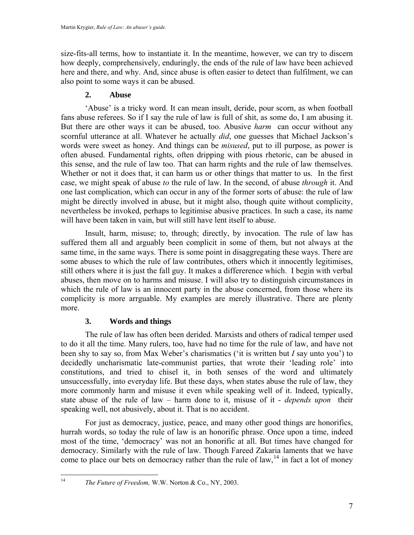size-fits-all terms, how to instantiate it. In the meantime, however, we can try to discern how deeply, comprehensively, enduringly, the ends of the rule of law have been achieved here and there, and why. And, since abuse is often easier to detect than fulfilment, we can also point to some ways it can be abused.

### **2. Abuse**

'Abuse' is a tricky word. It can mean insult, deride, pour scorn, as when football fans abuse referees. So if I say the rule of law is full of shit, as some do, I am abusing it. But there are other ways it can be abused, too. Abusive *harm* can occur without any scornful utterance at all. Whatever he actually *did*, one guesses that Michael Jackson's words were sweet as honey. And things can be *misused*, put to ill purpose, as power is often abused. Fundamental rights, often dripping with pious rhetoric, can be abused in this sense, and the rule of law too. That can harm rights and the rule of law themselves. Whether or not it does that, it can harm us or other things that matter to us. In the first case, we might speak of abuse *to* the rule of law. In the second, of abuse *through* it. And one last complication, which can occur in any of the former sorts of abuse: the rule of law might be directly involved in abuse, but it might also, though quite without complicity, nevertheless be invoked, perhaps to legitimise abusive practices. In such a case, its name will have been taken in vain, but will still have lent itself to abuse.

Insult, harm, misuse; to, through; directly, by invocation. The rule of law has suffered them all and arguably been complicit in some of them, but not always at the same time, in the same ways. There is some point in disaggregating these ways. There are some abuses to which the rule of law contributes, others which it innocently legitimises, still others where it is just the fall guy. It makes a differerence which. I begin with verbal abuses, then move on to harms and misuse. I will also try to distinguish circumstances in which the rule of law is an innocent party in the abuse concerned, from those where its complicity is more arrguable. My examples are merely illustrative. There are plenty more.

### **3. Words and things**

The rule of law has often been derided. Marxists and others of radical temper used to do it all the time. Many rulers, too, have had no time for the rule of law, and have not been shy to say so, from Max Weber's charismatics ('it is written but *I* say unto you') to decidedly uncharismatic late-communist parties, that wrote their 'leading role' into constitutions, and tried to chisel it, in both senses of the word and ultimately unsuccessfully, into everyday life. But these days, when states abuse the rule of law, they more commonly harm and misuse it even while speaking well of it. Indeed, typically, state abuse of the rule of law – harm done to it, misuse of it - *depends upon* their speaking well, not abusively, about it. That is no accident.

For just as democracy, justice, peace, and many other good things are honorifics, hurrah words, so today the rule of law is an honorific phrase. Once upon a time, indeed most of the time, 'democracy' was not an honorific at all. But times have changed for democracy. Similarly with the rule of law. Though Fareed Zakaria laments that we have come to place our bets on democracy rather than the rule of law,  $14$  in fact a lot of money

<span id="page-6-0"></span> $14$ The Future of Freedom, W.W. Norton & Co., NY, 2003.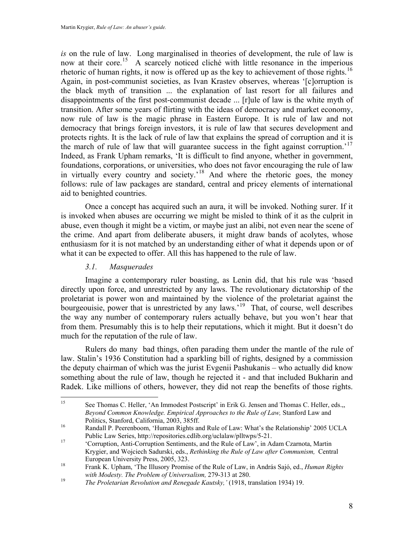*is* on the rule of law. Long marginalised in theories of development, the rule of law is now at their core.<sup>[15](#page-7-0)</sup> A scarcely noticed cliché with little resonance in the imperious rhetoric of human rights, it now is offered up as the key to achievement of those rights.<sup>[16](#page-7-1)</sup> Again, in post-communist societies, as Ivan Krastev observes, whereas '[c]orruption is the black myth of transition ... the explanation of last resort for all failures and disappointments of the first post-communist decade ... [r]ule of law is the white myth of transition. After some years of flirting with the ideas of democracy and market economy, now rule of law is the magic phrase in Eastern Europe. It is rule of law and not democracy that brings foreign investors, it is rule of law that secures development and protects rights. It is the lack of rule of law that explains the spread of corruption and it is the march of rule of law that will guarantee success in the fight against corruption.<sup>'[17](#page-7-2)</sup> Indeed, as Frank Upham remarks, 'It is difficult to find anyone, whether in government, foundations, corporations, or universities, who does not favor encouraging the rule of law in virtually every country and society.'[18](#page-7-3) And where the rhetoric goes, the money follows: rule of law packages are standard, central and pricey elements of international aid to benighted countries.

Once a concept has acquired such an aura, it will be invoked. Nothing surer. If it is invoked when abuses are occurring we might be misled to think of it as the culprit in abuse, even though it might be a victim, or maybe just an alibi, not even near the scene of the crime. And apart from deliberate abusers, it might draw bands of acolytes, whose enthusiasm for it is not matched by an understanding either of what it depends upon or of what it can be expected to offer. All this has happened to the rule of law.

#### *3.1. Masquerades*

Imagine a contemporary ruler boasting, as Lenin did, that his rule was 'based directly upon force, and unrestricted by any laws. The revolutionary dictatorship of the proletariat is power won and maintained by the violence of the proletariat against the bourgeouisie, power that is unrestricted by any laws.<sup>[19](#page-7-4)</sup> That, of course, well describes the way any number of contemporary rulers actually behave, but you won't hear that from them. Presumably this is to help their reputations, which it might. But it doesn't do much for the reputation of the rule of law.

Rulers do many bad things, often parading them under the mantle of the rule of law. Stalin's 1936 Constitution had a sparkling bill of rights, designed by a commission the deputy chairman of which was the jurist Evgenii Pashukanis – who actually did know something about the rule of law, though he rejected it - and that included Bukharin and Radek. Like millions of others, however, they did not reap the benefits of those rights.

<span id="page-7-0"></span><sup>15</sup> 15 See Thomas C. Heller, 'An Immodest Postscript' in Erik G. Jensen and Thomas C. Heller, eds.,, *Beyond Common Knowledge. Empirical Approaches to the Rule of Law,* Stanford Law and Politics, Stanford, California, 2003, 385ff.<br>
Randall P. Peerenboom, 'Human Rights and Rule of Law: What's the Relationship' 2005 UCLA

<span id="page-7-1"></span>Public Law Series, http://repositories.cdlib.org/uclalaw/plltwps/5-21.<br>
'Corruption, Anti-Corruption Sentiments, and the Rule of Law', in Adam Czarnota, Martin

<span id="page-7-2"></span>Krygier, and Wojciech Sadurski, eds., *Rethinking the Rule of Law after Communism,* Central European University Press, 2005, 323. 18 Frank K. Upham, 'The Illusory Promise of the Rule of Law, in András Sajó, ed., *Human Rights* 

<span id="page-7-3"></span>*with Modesty. The Problem of Universalism, 279-313 at 280.*<br><sup>19</sup> *The Proletarian Revolution and Renegade Kautsky,'* (1918, translation 1934) 19.

<span id="page-7-4"></span>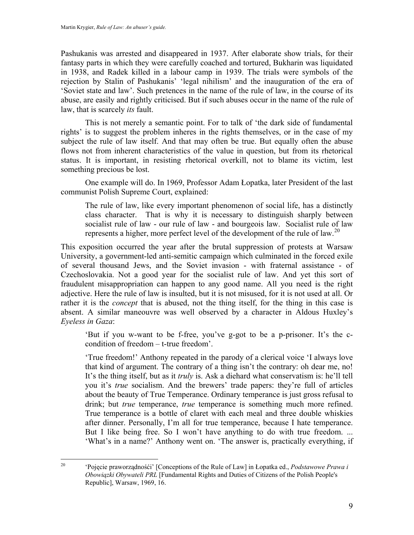<span id="page-8-0"></span>20

Pashukanis was arrested and disappeared in 1937. After elaborate show trials, for their fantasy parts in which they were carefully coached and tortured, Bukharin was liquidated in 1938, and Radek killed in a labour camp in 1939. The trials were symbols of the rejection by Stalin of Pashukanis' 'legal nihilism' and the inauguration of the era of 'Soviet state and law'. Such pretences in the name of the rule of law, in the course of its abuse, are easily and rightly criticised. But if such abuses occur in the name of the rule of law, that is scarcely *its* fault.

This is not merely a semantic point. For to talk of 'the dark side of fundamental rights' is to suggest the problem inheres in the rights themselves, or in the case of my subject the rule of law itself. And that may often be true. But equally often the abuse flows not from inherent characteristics of the value in question, but from its rhetorical status. It is important, in resisting rhetorical overkill, not to blame its victim, lest something precious be lost.

One example will do. In 1969, Professor Adam Łopatka, later President of the last communist Polish Supreme Court, explained:

The rule of law, like every important phenomenon of social life, has a distinctly class character. That is why it is necessary to distinguish sharply between socialist rule of law - our rule of law - and bourgeois law. Socialist rule of law represents a higher, more perfect level of the development of the rule of law.<sup>[20](#page-8-0)</sup>

This exposition occurred the year after the brutal suppression of protests at Warsaw University, a government-led anti-semitic campaign which culminated in the forced exile of several thousand Jews, and the Soviet invasion - with fraternal assistance - of Czechoslovakia. Not a good year for the socialist rule of law. And yet this sort of fraudulent misappropriation can happen to any good name. All you need is the right adjective. Here the rule of law is insulted, but it is not misused, for it is not used at all. Or rather it is the *concept* that is abused, not the thing itself, for the thing in this case is absent. A similar maneouvre was well observed by a character in Aldous Huxley's *Eyeless in Gaza*:

'But if you w-want to be f-free, you've g-got to be a p-prisoner. It's the ccondition of freedom – t-true freedom'.

'True freedom!' Anthony repeated in the parody of a clerical voice 'I always love that kind of argument. The contrary of a thing isn't the contrary: oh dear me, no! It's the thing itself, but as it *truly* is. Ask a diehard what conservatism is: he'll tell you it's *true* socialism. And the brewers' trade papers: they're full of articles about the beauty of True Temperance. Ordinary temperance is just gross refusal to drink; but *true* temperance, *true* temperance is something much more refined. True temperance is a bottle of claret with each meal and three double whiskies after dinner. Personally, I'm all for true temperance, because I hate temperance. But I like being free. So I won't have anything to do with true freedom... 'What's in a name?' Anthony went on. 'The answer is, practically everything, if

<sup>20 &#</sup>x27;Pojęcie praworządnośći' [Conceptions of the Rule of Law] in Łopatka ed., *Podstawowe Prawa i Obowiązki Obywateli PRL* [Fundamental Rights and Duties of Citizens of the Polish People's Republic], Warsaw, 1969, 16.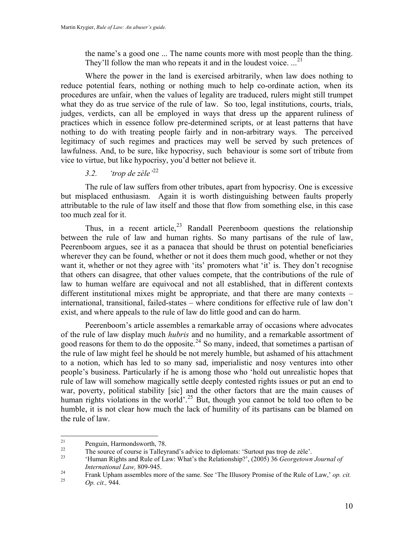the name's a good one ... The name counts more with most people than the thing. They'll follow the man who repeats it and in the loudest voice.  $\ldots$ <sup>[21](#page-9-0)</sup>

Where the power in the land is exercised arbitrarily, when law does nothing to reduce potential fears, nothing or nothing much to help co-ordinate action, when its procedures are unfair, when the values of legality are traduced, rulers might still trumpet what they do as true service of the rule of law. So too, legal institutions, courts, trials, judges, verdicts, can all be employed in ways that dress up the apparent ruliness of practices which in essence follow pre-determined scripts, or at least patterns that have nothing to do with treating people fairly and in non-arbitrary ways. The perceived legitimacy of such regimes and practices may well be served by such pretences of lawfulness. And, to be sure, like hypocrisy, such behaviour is some sort of tribute from vice to virtue, but like hypocrisy, you'd better not believe it.

### *3.2. 'trop de zèle'*[22](#page-9-1)

The rule of law suffers from other tributes, apart from hypocrisy. One is excessive but misplaced enthusiasm. Again it is worth distinguishing between faults properly attributable to the rule of law itself and those that flow from something else, in this case too much zeal for it.

Thus, in a recent article,<sup>[23](#page-9-2)</sup> Randall Peerenboom questions the relationship between the rule of law and human rights. So many partisans of the rule of law, Peerenboom argues, see it as a panacea that should be thrust on potential beneficiaries wherever they can be found, whether or not it does them much good, whether or not they want it, whether or not they agree with 'its' promoters what 'it' is. They don't recognise that others can disagree, that other values compete, that the contributions of the rule of law to human welfare are equivocal and not all established, that in different contexts different institutional mixes might be appropriate, and that there are many contexts – international, transitional, failed-states – where conditions for effective rule of law don't exist, and where appeals to the rule of law do little good and can do harm.

Peerenboom's article assembles a remarkable array of occasions where advocates of the rule of law display much *hubris* and no humility, and a remarkable assortment of good reasons for them to do the opposite.<sup>[24](#page-9-3)</sup> So many, indeed, that sometimes a partisan of the rule of law might feel he should be not merely humble, but ashamed of his attachment to a notion, which has led to so many sad, imperialistic and nosy ventures into other people's business. Particularly if he is among those who 'hold out unrealistic hopes that rule of law will somehow magically settle deeply contested rights issues or put an end to war, poverty, political stability [sic] and the other factors that are the main causes of human rights violations in the world'.<sup>[25](#page-9-4)</sup> But, though you cannot be told too often to be humble, it is not clear how much the lack of humility of its partisans can be blamed on the rule of law.

<span id="page-9-0"></span> $21$  $\frac{21}{22}$  Penguin, Harmondsworth, 78.

<span id="page-9-1"></span><sup>&</sup>lt;sup>22</sup> The source of course is Talleyrand's advice to diplomats: 'Surtout pas trop de zèle'.<br><sup>23</sup> Thuman Bights and Bule of Law: What's the Balatianship?' (2005) 26 Geometry.

<span id="page-9-2"></span><sup>23 &#</sup>x27;Human Rights and Rule of Law: What's the Relationship?', (2005) 36 *Georgetown Journal of* 

<span id="page-9-3"></span>*International Law,* 809-945.<br><sup>24</sup> Frank Upham assembles more of the same. See 'The Illusory Promise of the Rule of Law,' *op. cit. Op. cit. Op. cit. A4.* 

<span id="page-9-4"></span>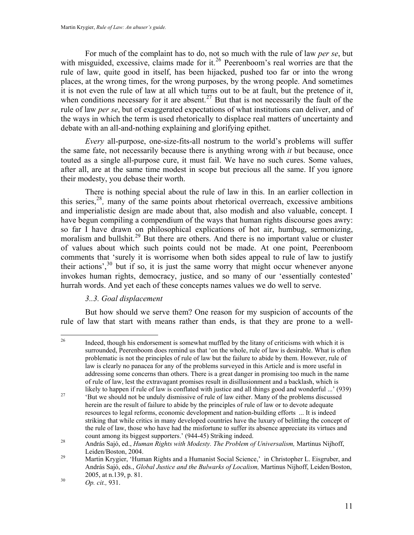For much of the complaint has to do, not so much with the rule of law *per se*, but with misguided, excessive, claims made for it.<sup>[26](#page-10-0)</sup> Peerenboom's real worries are that the rule of law, quite good in itself, has been hijacked, pushed too far or into the wrong places, at the wrong times, for the wrong purposes, by the wrong people. And sometimes it is not even the rule of law at all which turns out to be at fault, but the pretence of it, when conditions necessary for it are absent.<sup>[27](#page-10-1)</sup> But that is not necessarily the fault of the rule of law *per se*, but of exaggerated expectations of what institutions can deliver, and of the ways in which the term is used rhetorically to displace real matters of uncertainty and debate with an all-and-nothing explaining and glorifying epithet.

*Every* all-purpose, one-size-fits-all nostrum to the world's problems will suffer the same fate, not necessarily because there is anything wrong with *it* but because, once touted as a single all-purpose cure, it must fail. We have no such cures. Some values, after all, are at the same time modest in scope but precious all the same. If you ignore their modesty, you debase their worth.

There is nothing special about the rule of law in this. In an earlier collection in this series,<sup>[28](#page-10-2)</sup>, many of the same points about rhetorical overreach, excessive ambitions and imperialistic design are made about that, also modish and also valuable, concept. I have begun compiling a compendium of the ways that human rights discourse goes awry: so far I have drawn on philosophical explications of hot air, humbug, sermonizing, moralism and bullshit.<sup>[29](#page-10-3)</sup> But there are others. And there is no important value or cluster of values about which such points could not be made. At one point, Peerenboom comments that 'surely it is worrisome when both sides appeal to rule of law to justify their actions', $30$  but if so, it is just the same worry that might occur whenever anyone invokes human rights, democracy, justice, and so many of our 'essentially contested' hurrah words. And yet each of these concepts names values we do well to serve.

#### *3..3. Goal displacement*

But how should we serve them? One reason for my suspicion of accounts of the rule of law that start with means rather than ends, is that they are prone to a well-

<span id="page-10-0"></span><sup>26</sup> Indeed, though his endorsement is somewhat muffled by the litany of criticisms with which it is surrounded, Peerenboom does remind us that 'on the whole, rule of law is desirable. What is often problematic is not the principles of rule of law but the failure to abide by them. However, rule of law is clearly no panacea for any of the problems surveyed in this Article and is more useful in addressing some concerns than others. There is a great danger in promising too much in the name of rule of law, lest the extravagant promises result in disillusionment and a backlash, which is

<span id="page-10-1"></span>likely to happen if rule of law is conflated with justice and all things good and wonderful ...' (939)<br><sup>27</sup> 'But we should not be unduly dismissive of rule of law either. Many of the problems discussed herein are the result of failure to abide by the principles of rule of law or to devote adequate resources to legal reforms, economic development and nation-building efforts ... It is indeed striking that while critics in many developed countries have the luxury of belittling the concept of the rule of law, those who have had the misfortune to suffer its absence appreciate its virtues and count among its biggest supporters.' (944-45) Striking indeed. 28 András Sajó, ed., *Human Rights with Modesty. The Problem of Universalism,* Martinus Nijhoff,

<span id="page-10-2"></span>

<span id="page-10-3"></span>Leiden/Boston, 2004.<br><sup>29</sup> Martin Krygier, 'Human Rights and a Humanist Social Science,' in Christopher L. Eisgruber, and András Sajó, eds., *Global Justice and the Bulwarks of Localism,* Martinus Nijhoff, Leiden/Boston, 2005, at n.139, p. 81. 30 *Op. cit.,* 931.

<span id="page-10-4"></span>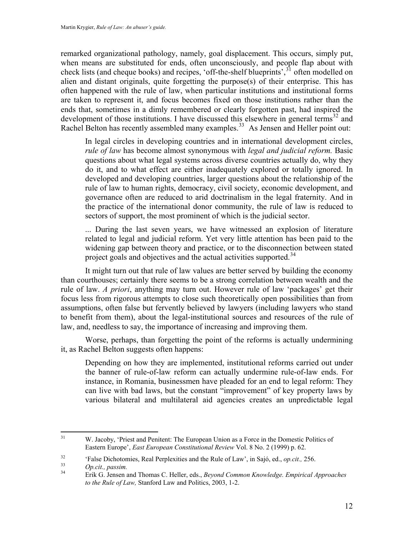remarked organizational pathology, namely, goal displacement. This occurs, simply put, when means are substituted for ends, often unconsciously, and people flap about with check lists (and cheque books) and recipes, 'off-the-shelf blueprints',<sup>[31](#page-11-0)</sup> often modelled on alien and distant originals, quite forgetting the purpose(s) of their enterprise. This has often happened with the rule of law, when particular institutions and institutional forms are taken to represent it, and focus becomes fixed on those institutions rather than the ends that, sometimes in a dimly remembered or clearly forgotten past, had inspired the development of those institutions. I have discussed this elsewhere in general terms $32$  and Rachel Belton has recently assembled many examples.<sup>[33](#page-11-2)</sup> As Jensen and Heller point out:

In legal circles in developing countries and in international development circles, *rule of law* has become almost synonymous with *legal and judicial reform.* Basic questions about what legal systems across diverse countries actually do, why they do it, and to what effect are either inadequately explored or totally ignored. In developed and developing countries, larger questions about the relationship of the rule of law to human rights, democracy, civil society, economic development, and governance often are reduced to arid doctrinalism in the legal fraternity. And in the practice of the international donor community, the rule of law is reduced to sectors of support, the most prominent of which is the judicial sector.

... During the last seven years, we have witnessed an explosion of literature related to legal and judicial reform. Yet very little attention has been paid to the widening gap between theory and practice, or to the disconnection between stated project goals and objectives and the actual activities supported.<sup>[34](#page-11-3)</sup>

 It might turn out that rule of law values are better served by building the economy than courthouses; certainly there seems to be a strong correlation between wealth and the rule of law. *A priori*, anything may turn out. However rule of law 'packages' get their focus less from rigorous attempts to close such theoretically open possibilities than from assumptions, often false but fervently believed by lawyers (including lawyers who stand to benefit from them), about the legal-institutional sources and resources of the rule of law, and, needless to say, the importance of increasing and improving them.

 Worse, perhaps, than forgetting the point of the reforms is actually undermining it, as Rachel Belton suggests often happens:

Depending on how they are implemented, institutional reforms carried out under the banner of rule-of-law reform can actually undermine rule-of-law ends. For instance, in Romania, businessmen have pleaded for an end to legal reform: They can live with bad laws, but the constant "improvement" of key property laws by various bilateral and multilateral aid agencies creates an unpredictable legal

<span id="page-11-0"></span> $31$ W. Jacoby, 'Priest and Penitent: The European Union as a Force in the Domestic Politics of Eastern Europe', *East European Constitutional Review* Vol. 8 No. 2 (1999) p. 62.

<span id="page-11-2"></span><span id="page-11-1"></span>

<span id="page-11-3"></span>

<sup>32 &#</sup>x27;False Dichotomies, Real Perplexities and the Rule of Law', in Sajó, ed., *op.cit.,* 256. 33 *Op.cit., passim.* 34 Erik G. Jensen and Thomas C. Heller, eds., *Beyond Common Knowledge. Empirical Approaches to the Rule of Law,* Stanford Law and Politics, 2003, 1-2.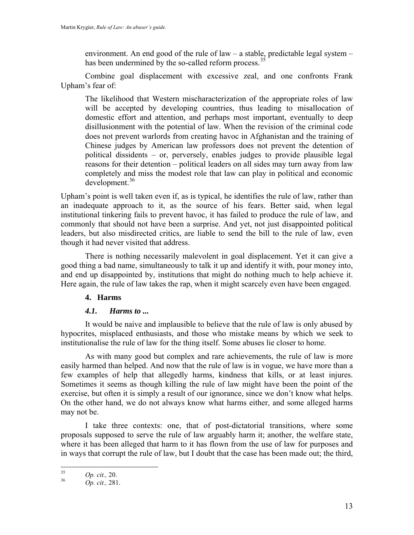environment. An end good of the rule of law – a stable, predictable legal system – has been undermined by the so-called reform process.<sup>[35](#page-12-0)</sup>

Combine goal displacement with excessive zeal, and one confronts Frank Upham's fear of:

The likelihood that Western mischaracterization of the appropriate roles of law will be accepted by developing countries, thus leading to misallocation of domestic effort and attention, and perhaps most important, eventually to deep disillusionment with the potential of law. When the revision of the criminal code does not prevent warlords from creating havoc in Afghanistan and the training of Chinese judges by American law professors does not prevent the detention of political dissidents – or, perversely, enables judges to provide plausible legal reasons for their detention – political leaders on all sides may turn away from law completely and miss the modest role that law can play in political and economic development.<sup>[36](#page-12-1)</sup>

Upham's point is well taken even if, as is typical, he identifies the rule of law, rather than an inadequate approach to it, as the source of his fears. Better said, when legal institutional tinkering fails to prevent havoc, it has failed to produce the rule of law, and commonly that should not have been a surprise. And yet, not just disappointed political leaders, but also misdirected critics, are liable to send the bill to the rule of law, even though it had never visited that address.

There is nothing necessarily malevolent in goal displacement. Yet it can give a good thing a bad name, simultaneously to talk it up and identify it with, pour money into, and end up disappointed by, institutions that might do nothing much to help achieve it. Here again, the rule of law takes the rap, when it might scarcely even have been engaged.

#### **4. Harms**

#### *4.1. Harms to ...*

It would be naive and implausible to believe that the rule of law is only abused by hypocrites, misplaced enthusiasts, and those who mistake means by which we seek to institutionalise the rule of law for the thing itself. Some abuses lie closer to home.

As with many good but complex and rare achievements, the rule of law is more easily harmed than helped. And now that the rule of law is in vogue, we have more than a few examples of help that allegedly harms, kindness that kills, or at least injures. Sometimes it seems as though killing the rule of law might have been the point of the exercise, but often it is simply a result of our ignorance, since we don't know what helps. On the other hand, we do not always know what harms either, and some alleged harms may not be.

I take three contexts: one, that of post-dictatorial transitions, where some proposals supposed to serve the rule of law arguably harm it; another, the welfare state, where it has been alleged that harm to it has flown from the use of law for purposes and in ways that corrupt the rule of law, but I doubt that the case has been made out; the third,

<span id="page-12-0"></span><sup>35</sup> 

<span id="page-12-1"></span><sup>35</sup>*Op. cit.,* 20. 36 *Op. cit.,* 281.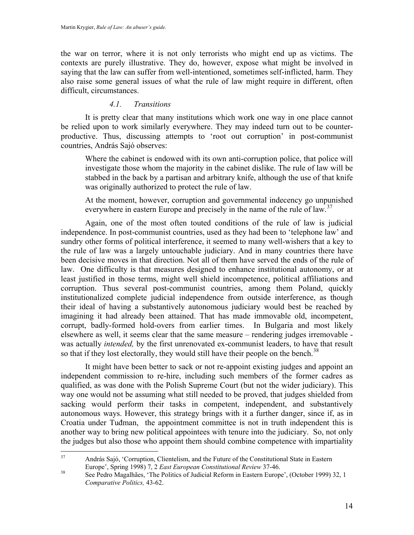the war on terror, where it is not only terrorists who might end up as victims. The contexts are purely illustrative. They do, however, expose what might be involved in saying that the law can suffer from well-intentioned, sometimes self-inflicted, harm. They also raise some general issues of what the rule of law might require in different, often difficult, circumstances.

#### *4.1. Transitions*

It is pretty clear that many institutions which work one way in one place cannot be relied upon to work similarly everywhere. They may indeed turn out to be counterproductive. Thus, discussing attempts to 'root out corruption' in post-communist countries, András Sajó observes:

Where the cabinet is endowed with its own anti-corruption police, that police will investigate those whom the majority in the cabinet dislike. The rule of law will be stabbed in the back by a partisan and arbitrary knife, although the use of that knife was originally authorized to protect the rule of law.

At the moment, however, corruption and governmental indecency go unpunished everywhere in eastern Europe and precisely in the name of the rule of law.<sup>[37](#page-13-0)</sup>

Again, one of the most often touted conditions of the rule of law is judicial independence. In post-communist countries, used as they had been to 'telephone law' and sundry other forms of political interference, it seemed to many well-wishers that a key to the rule of law was a largely untouchable judiciary. And in many countries there have been decisive moves in that direction. Not all of them have served the ends of the rule of law. One difficulty is that measures designed to enhance institutional autonomy, or at least justified in those terms, might well shield incompetence, political affiliations and corruption. Thus several post-communist countries, among them Poland, quickly institutionalized complete judicial independence from outside interference, as though their ideal of having a substantively autonomous judiciary would best be reached by imagining it had already been attained. That has made immovable old, incompetent, corrupt, badly-formed hold-overs from earlier times. In Bulgaria and most likely elsewhere as well, it seems clear that the same measure – rendering judges irremovable was actually *intended,* by the first unrenovated ex-communist leaders, to have that result so that if they lost electorally, they would still have their people on the bench.<sup>[38](#page-13-1)</sup>

It might have been better to sack or not re-appoint existing judges and appoint an independent commission to re-hire, including such members of the former cadres as qualified, as was done with the Polish Supreme Court (but not the wider judiciary). This way one would not be assuming what still needed to be proved, that judges shielded from sacking would perform their tasks in competent, independent, and substantively autonomous ways. However, this strategy brings with it a further danger, since if, as in Croatia under Tuđman, the appointment committee is not in truth independent this is another way to bring new political appointees with tenure into the judiciary. So, not only the judges but also those who appoint them should combine competence with impartiality

<span id="page-13-0"></span> $37$ 37 András Sajó, 'Corruption, Clientelism, and the Future of the Constitutional State in Eastern Europe', Spring 1998) 7, 2 *East European Constitutional Review* 37-46. 38 See Pedro Magalhães, 'The Politics of Judicial Reform in Eastern Europe', (October 1999) 32, 1

<span id="page-13-1"></span>*Comparative Politics,* 43-62.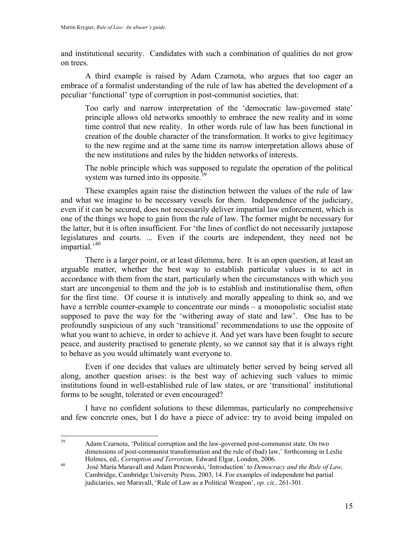and institutional security. Candidates with such a combination of qualities do not grow on trees.

A third example is raised by Adam Czarnota, who argues that too eager an embrace of a formalist understanding of the rule of law has abetted the development of a peculiar 'functional' type of corruption in post-communist societies, that:

Too early and narrow interpretation of the 'democratic law-governed state' principle allows old networks smoothly to embrace the new reality and in some time control that new reality. In other words rule of law has been functional in creation of the double character of the transformation. It works to give legitimacy to the new regime and at the same time its narrow interpretation allows abuse of the new institutions and rules by the hidden networks of interests.

The noble principle which was supposed to regulate the operation of the political system was turned into its opposite.<sup>[39](#page-14-0)</sup>

These examples again raise the distinction between the values of the rule of law and what we imagine to be necessary vessels for them. Independence of the judiciary, even if it can be secured, does not necessarily deliver impartial law enforcement, which is one of the things we hope to gain from the rule of law. The former might be necessary for the latter, but it is often insufficient. For 'the lines of conflict do not necessarily juxtapose legislatures and courts. ... Even if the courts are independent, they need not be impartial.<sup>[40](#page-14-1)</sup>

There is a larger point, or at least dilemma, here. It is an open question, at least an arguable matter, whether the best way to establish particular values is to act in accordance with them from the start, particularly when the circumstances with which you start are uncongenial to them and the job is to establish and institutionalise them, often for the first time. Of course it is intutively and morally appealing to think so, and we have a terrible counter-example to concentrate our minds – a monopolistic socialist state supposed to pave the way for the 'withering away of state and law'. One has to be profoundly suspicious of any such 'transitional' recommendations to use the opposite of what you want to achieve, in order to achieve it. And yet wars have been fought to secure peace, and austerity practised to generate plenty, so we cannot say that it is always right to behave as you would ultimately want everyone to.

Even if one decides that values are ultimately better served by being served all along, another question arises: is the best way of achieving such values to mimic institutions found in well-established rule of law states, or are 'transitional' institutional forms to be sought, tolerated or even encouraged?

I have no confident solutions to these dilemmas, particularly no comprehensive and few concrete ones, but I do have a piece of advice: try to avoid being impaled on

<span id="page-14-0"></span><sup>39</sup> 39 Adam Czarnota, 'Political corruption and the law-governed post-communist state. On two dimensions of post-communist transformation and the rule of (bad) law,' forthcoming in Leslie Holmes, ed., *Corruption and Terrorism,* Edward Elgar, London, 2006. 40 José María Maravall and Adam Przeworski, 'Introduction' to *Democracy and the Rule of Law,* 

<span id="page-14-1"></span>Cambridge, Cambridge University Press, 2003, 14. For examples of independent but partial judiciaries, see Maravall, 'Rule of Law as a Political Weapon', *op. cit.,* 261-301.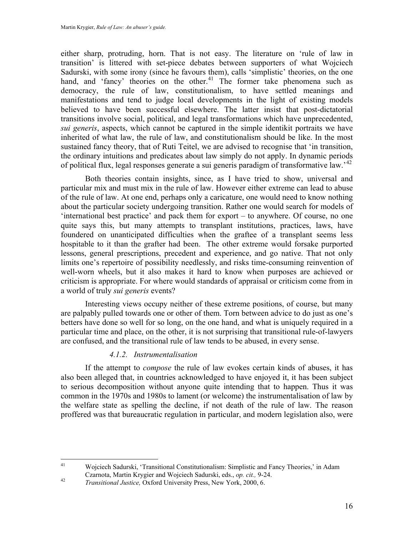either sharp, protruding, horn. That is not easy. The literature on 'rule of law in transition' is littered with set-piece debates between supporters of what Wojciech Sadurski, with some irony (since he favours them), calls 'simplistic' theories, on the one hand, and 'fancy' theories on the other.<sup>[41](#page-15-0)</sup> The former take phenomena such as democracy, the rule of law, constitutionalism, to have settled meanings and manifestations and tend to judge local developments in the light of existing models believed to have been successful elsewhere. The latter insist that post-dictatorial transitions involve social, political, and legal transformations which have unprecedented, *sui generis*, aspects, which cannot be captured in the simple identikit portraits we have inherited of what law, the rule of law, and constitutionalism should be like. In the most sustained fancy theory, that of Ruti Teitel, we are advised to recognise that 'in transition, the ordinary intuitions and predicates about law simply do not apply. In dynamic periods of political flux, legal responses generate a sui generis paradigm of transformative law.'[42](#page-15-1) 

Both theories contain insights, since, as I have tried to show, universal and particular mix and must mix in the rule of law. However either extreme can lead to abuse of the rule of law. At one end, perhaps only a caricature, one would need to know nothing about the particular society undergoing transition. Rather one would search for models of 'international best practice' and pack them for export – to anywhere. Of course, no one quite says this, but many attempts to transplant institutions, practices, laws, have foundered on unanticipated difficulties when the graftee of a transplant seems less hospitable to it than the grafter had been. The other extreme would forsake purported lessons, general prescriptions, precedent and experience, and go native. That not only limits one's repertoire of possibility needlessly, and risks time-consuming reinvention of well-worn wheels, but it also makes it hard to know when purposes are achieved or criticism is appropriate. For where would standards of appraisal or criticism come from in a world of truly *sui generis* events?

Interesting views occupy neither of these extreme positions, of course, but many are palpably pulled towards one or other of them. Torn between advice to do just as one's betters have done so well for so long, on the one hand, and what is uniquely required in a particular time and place, on the other, it is not surprising that transitional rule-of-lawyers are confused, and the transitional rule of law tends to be abused, in every sense.

#### *4.1.2. Instrumentalisation*

If the attempt to *compose* the rule of law evokes certain kinds of abuses, it has also been alleged that, in countries acknowledged to have enjoyed it, it has been subject to serious decomposition without anyone quite intending that to happen. Thus it was common in the 1970s and 1980s to lament (or welcome) the instrumentalisation of law by the welfare state as spelling the decline, if not death of the rule of law. The reason proffered was that bureaucratic regulation in particular, and modern legislation also, were

<span id="page-15-0"></span> $41$ 41 Wojciech Sadurski, 'Transitional Constitutionalism: Simplistic and Fancy Theories,' in Adam Czarnota, Martin Krygier and Wojciech Sadurski, eds., *op. cit.,* 9-24. 42 *Transitional Justice,* Oxford University Press, New York, 2000, 6.

<span id="page-15-1"></span>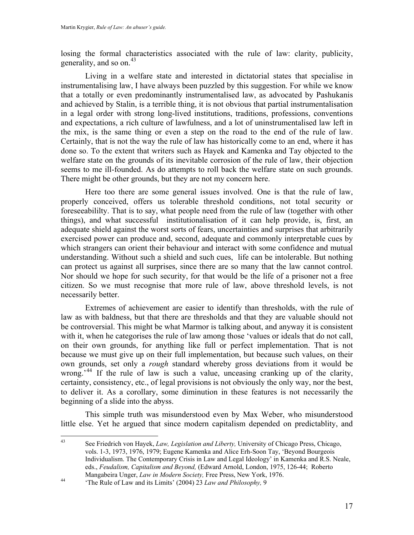losing the formal characteristics associated with the rule of law: clarity, publicity, generality, and so on.  $43$ 

Living in a welfare state and interested in dictatorial states that specialise in instrumentalising law, I have always been puzzled by this suggestion. For while we know that a totally or even predominantly instrumentalised law, as advocated by Pashukanis and achieved by Stalin, is a terrible thing, it is not obvious that partial instrumentalisation in a legal order with strong long-lived institutions, traditions, professions, conventions and expectations, a rich culture of lawfulness, and a lot of uninstrumentalised law left in the mix, is the same thing or even a step on the road to the end of the rule of law. Certainly, that is not the way the rule of law has historically come to an end, where it has done so. To the extent that writers such as Hayek and Kamenka and Tay objected to the welfare state on the grounds of its inevitable corrosion of the rule of law, their objection seems to me ill-founded. As do attempts to roll back the welfare state on such grounds. There might be other grounds, but they are not my concern here.

Here too there are some general issues involved. One is that the rule of law, properly conceived, offers us tolerable threshold conditions, not total security or foreseeabililty. That is to say, what people need from the rule of law (together with other things), and what successful institutionalisation of it can help provide, is, first, an adequate shield against the worst sorts of fears, uncertainties and surprises that arbitrarily exercised power can produce and, second, adequate and commonly interpretable cues by which strangers can orient their behaviour and interact with some confidence and mutual understanding. Without such a shield and such cues, life can be intolerable. But nothing can protect us against all surprises, since there are so many that the law cannot control. Nor should we hope for such security, for that would be the life of a prisoner not a free citizen. So we must recognise that more rule of law, above threshold levels, is not necessarily better.

Extremes of achievement are easier to identify than thresholds, with the rule of law as with baldness, but that there are thresholds and that they are valuable should not be controversial. This might be what Marmor is talking about, and anyway it is consistent with it, when he categorises the rule of law among those 'values or ideals that do not call, on their own grounds, for anything like full or perfect implementation. That is not because we must give up on their full implementation, but because such values, on their own grounds, set only a *rough* standard whereby gross deviations from it would be wrong.<sup>[44](#page-16-1)</sup> If the rule of law is such a value, unceasing cranking up of the clarity, certainty, consistency, etc., of legal provisions is not obviously the only way, nor the best, to deliver it. As a corollary, some diminution in these features is not necessarily the beginning of a slide into the abyss.

This simple truth was misunderstood even by Max Weber, who misunderstood little else. Yet he argued that since modern capitalism depended on predictablity, and

<span id="page-16-0"></span><sup>43</sup> 43 See Friedrich von Hayek, *Law, Legislation and Liberty,* University of Chicago Press, Chicago, vols. 1-3, 1973, 1976, 1979; Eugene Kamenka and Alice Erh-Soon Tay, 'Beyond Bourgeois Individualism. The Contemporary Crisis in Law and Legal Ideology' in Kamenka and R.S. Neale, eds., *Feudalism, Capitalism and Beyond,* (Edward Arnold, London, 1975, 126-44; Roberto

<span id="page-16-1"></span>Mangabeira Unger, *Law in Modern Society*, Free Press, New York, 1976.<br>
"The Rule of Law and its Limits' (2004) 23 *Law and Philosophy*, 9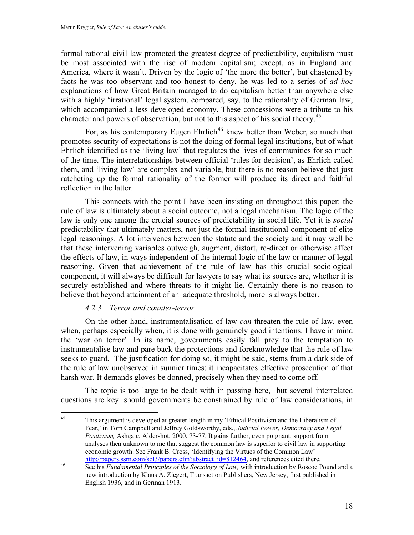formal rational civil law promoted the greatest degree of predictability, capitalism must be most associated with the rise of modern capitalism; except, as in England and America, where it wasn't. Driven by the logic of 'the more the better', but chastened by facts he was too observant and too honest to deny, he was led to a series of *ad hoc*  explanations of how Great Britain managed to do capitalism better than anywhere else with a highly 'irrational' legal system, compared, say, to the rationality of German law, which accompanied a less developed economy. These concessions were a tribute to his character and powers of observation, but not to this aspect of his social theory.<sup>[45](#page-17-0)</sup>

For, as his contemporary Eugen Ehrlich<sup>[46](#page-17-1)</sup> knew better than Weber, so much that promotes security of expectations is not the doing of formal legal institutions, but of what Ehrlich identified as the 'living law' that regulates the lives of communities for so much of the time. The interrelationships between official 'rules for decision', as Ehrlich called them, and 'living law' are complex and variable, but there is no reason believe that just ratcheting up the formal rationality of the former will produce its direct and faithful reflection in the latter.

This connects with the point I have been insisting on throughout this paper: the rule of law is ultimately about a social outcome, not a legal mechanism. The logic of the law is only one among the crucial sources of predictability in social life. Yet it is *social*  predictability that ultimately matters, not just the formal institutional component of elite legal reasonings. A lot intervenes between the statute and the society and it may well be that these intervening variables outweigh, augment, distort, re-direct or otherwise affect the effects of law, in ways independent of the internal logic of the law or manner of legal reasoning. Given that achievement of the rule of law has this crucial sociological component, it will always be difficult for lawyers to say what its sources are, whether it is securely established and where threats to it might lie. Certainly there is no reason to believe that beyond attainment of an adequate threshold, more is always better.

#### *4.2.3. Terror and counter-terror*

On the other hand, instrumentalisation of law *can* threaten the rule of law, even when, perhaps especially when, it is done with genuinely good intentions. I have in mind the 'war on terror'. In its name, governments easily fall prey to the temptation to instrumentalise law and pare back the protections and foreknowledge that the rule of law seeks to guard. The justification for doing so, it might be said, stems from a dark side of the rule of law unobserved in sunnier times: it incapacitates effective prosecution of that harsh war. It demands gloves be donned, precisely when they need to come off.

The topic is too large to be dealt with in passing here, but several interrelated questions are key: should governments be constrained by rule of law considerations, in

<span id="page-17-0"></span> $45$ 45 This argument is developed at greater length in my 'Ethical Positivism and the Liberalism of Fear,' in Tom Campbell and Jeffrey Goldsworthy, eds., *Judicial Power, Democracy and Legal Positivism,* Ashgate, Aldershot, 2000, 73-77. It gains further, even poignant, support from analyses then unknown to me that suggest the common law is superior to civil law in supporting economic growth. See Frank B. Cross, 'Identifying the Virtues of the Common Law'

<span id="page-17-1"></span>[http://papers.ssrn.com/sol3/papers.cfm?abstract\\_id=812464,](http://papers.ssrn.com/sol3/papers.cfm?abstract_id=812464) and references cited there.<br>
See his *Fundamental Principles of the Sociology of Law*, with introduction by Roscoe Pound and a new introduction by Klaus A. Ziegert, Transaction Publishers, New Jersey, first published in English 1936, and in German 1913.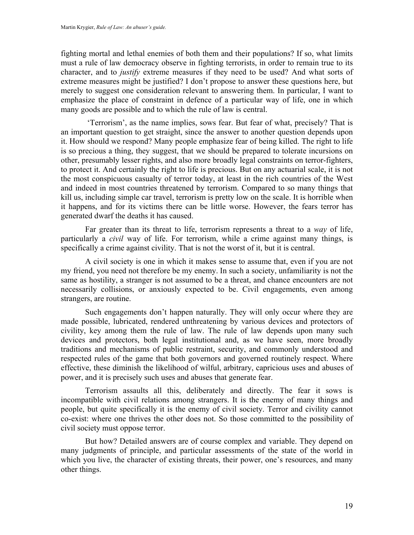fighting mortal and lethal enemies of both them and their populations? If so, what limits must a rule of law democracy observe in fighting terrorists, in order to remain true to its character, and to *justify* extreme measures if they need to be used? And what sorts of extreme measures might be justified? I don't propose to answer these questions here, but merely to suggest one consideration relevant to answering them. In particular, I want to emphasize the place of constraint in defence of a particular way of life, one in which many goods are possible and to which the rule of law is central.

 'Terrorism', as the name implies, sows fear. But fear of what, precisely? That is an important question to get straight, since the answer to another question depends upon it. How should we respond? Many people emphasize fear of being killed. The right to life is so precious a thing, they suggest, that we should be prepared to tolerate incursions on other, presumably lesser rights, and also more broadly legal constraints on terror-fighters, to protect it. And certainly the right to life is precious. But on any actuarial scale, it is not the most conspicuous casualty of terror today, at least in the rich countries of the West and indeed in most countries threatened by terrorism. Compared to so many things that kill us, including simple car travel, terrorism is pretty low on the scale. It is horrible when it happens, and for its victims there can be little worse. However, the fears terror has generated dwarf the deaths it has caused.

Far greater than its threat to life, terrorism represents a threat to a *way* of life, particularly a *civil* way of life. For terrorism, while a crime against many things, is specifically a crime against civility. That is not the worst of it, but it is central.

A civil society is one in which it makes sense to assume that, even if you are not my friend, you need not therefore be my enemy. In such a society, unfamiliarity is not the same as hostility, a stranger is not assumed to be a threat, and chance encounters are not necessarily collisions, or anxiously expected to be. Civil engagements, even among strangers, are routine.

Such engagements don't happen naturally. They will only occur where they are made possible, lubricated, rendered unthreatening by various devices and protectors of civility, key among them the rule of law. The rule of law depends upon many such devices and protectors, both legal institutional and, as we have seen, more broadly traditions and mechanisms of public restraint, security, and commonly understood and respected rules of the game that both governors and governed routinely respect. Where effective, these diminish the likelihood of wilful, arbitrary, capricious uses and abuses of power, and it is precisely such uses and abuses that generate fear.

Terrorism assaults all this, deliberately and directly. The fear it sows is incompatible with civil relations among strangers. It is the enemy of many things and people, but quite specifically it is the enemy of civil society. Terror and civility cannot co-exist: where one thrives the other does not. So those committed to the possibility of civil society must oppose terror.

But how? Detailed answers are of course complex and variable. They depend on many judgments of principle, and particular assessments of the state of the world in which you live, the character of existing threats, their power, one's resources, and many other things.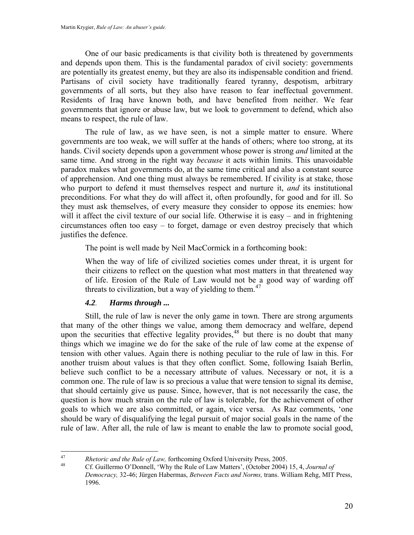One of our basic predicaments is that civility both is threatened by governments and depends upon them. This is the fundamental paradox of civil society: governments are potentially its greatest enemy, but they are also its indispensable condition and friend. Partisans of civil society have traditionally feared tyranny, despotism, arbitrary governments of all sorts, but they also have reason to fear ineffectual government. Residents of Iraq have known both, and have benefited from neither. We fear governments that ignore or abuse law, but we look to government to defend, which also means to respect, the rule of law.

The rule of law, as we have seen, is not a simple matter to ensure. Where governments are too weak, we will suffer at the hands of others; where too strong, at its hands. Civil society depends upon a government whose power is strong *and* limited at the same time. And strong in the right way *because* it acts within limits. This unavoidable paradox makes what governments do, at the same time critical and also a constant source of apprehension. And one thing must always be remembered. If civility is at stake, those who purport to defend it must themselves respect and nurture it, *and* its institutional preconditions. For what they do will affect it, often profoundly, for good and for ill. So they must ask themselves, of every measure they consider to oppose its enemies: how will it affect the civil texture of our social life. Otherwise it is easy – and in frightening circumstances often too easy – to forget, damage or even destroy precisely that which justifies the defence.

The point is well made by Neil MacCormick in a forthcoming book:

When the way of life of civilized societies comes under threat, it is urgent for their citizens to reflect on the question what most matters in that threatened way of life. Erosion of the Rule of Law would not be a good way of warding off threats to civilization, but a way of yielding to them.<sup>[47](#page-19-0)</sup>

#### *4.2. Harms through ...*

Still, the rule of law is never the only game in town. There are strong arguments that many of the other things we value, among them democracy and welfare, depend upon the securities that effective legality provides,<sup>[48](#page-19-1)</sup> but there is no doubt that many things which we imagine we do for the sake of the rule of law come at the expense of tension with other values. Again there is nothing peculiar to the rule of law in this. For another truism about values is that they often conflict. Some, following Isaiah Berlin, believe such conflict to be a necessary attribute of values. Necessary or not, it is a common one. The rule of law is so precious a value that were tension to signal its demise, that should certainly give us pause. Since, however, that is not necessarily the case, the question is how much strain on the rule of law is tolerable, for the achievement of other goals to which we are also committed, or again, vice versa. As Raz comments, 'one should be wary of disqualifying the legal pursuit of major social goals in the name of the rule of law. After all, the rule of law is meant to enable the law to promote social good,

 $47$ 

<span id="page-19-1"></span><span id="page-19-0"></span><sup>47</sup>*Rhetoric and the Rule of Law,* forthcoming Oxford University Press, 2005. 48 Cf. Guillermo O'Donnell, 'Why the Rule of Law Matters', (October 2004) 15, 4, *Journal of Democracy,* 32-46; Jürgen Habermas, *Between Facts and Norms,* trans. William Rehg, MIT Press, 1996.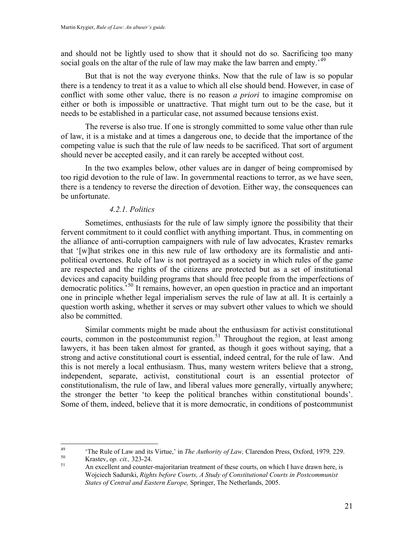and should not be lightly used to show that it should not do so. Sacrificing too many social goals on the altar of the rule of law may make the law barren and empty.<sup>[49](#page-20-0)</sup>

But that is not the way everyone thinks. Now that the rule of law is so popular there is a tendency to treat it as a value to which all else should bend. However, in case of conflict with some other value, there is no reason *a priori* to imagine compromise on either or both is impossible or unattractive. That might turn out to be the case, but it needs to be established in a particular case, not assumed because tensions exist.

The reverse is also true. If one is strongly committed to some value other than rule of law, it is a mistake and at times a dangerous one, to decide that the importance of the competing value is such that the rule of law needs to be sacrificed. That sort of argument should never be accepted easily, and it can rarely be accepted without cost.

In the two examples below, other values are in danger of being compromised by too rigid devotion to the rule of law. In governmental reactions to terror, as we have seen, there is a tendency to reverse the direction of devotion. Either way, the consequences can be unfortunate.

#### *4.2.1. Politics*

Sometimes, enthusiasts for the rule of law simply ignore the possibility that their fervent commitment to it could conflict with anything important. Thus, in commenting on the alliance of anti-corruption campaigners with rule of law advocates, Krastev remarks that '[w]hat strikes one in this new rule of law orthodoxy are its formalistic and antipolitical overtones. Rule of law is not portrayed as a society in which rules of the game are respected and the rights of the citizens are protected but as a set of institutional devices and capacity building programs that should free people from the imperfections of democratic politics.'[50](#page-20-1) It remains, however, an open question in practice and an important one in principle whether legal imperialism serves the rule of law at all. It is certainly a question worth asking, whether it serves or may subvert other values to which we should also be committed.

Similar comments might be made about the enthusiasm for activist constitutional courts, common in the postcommunist region.<sup>[51](#page-20-2)</sup> Throughout the region, at least among lawyers, it has been taken almost for granted, as though it goes without saying, that a strong and active constitutional court is essential, indeed central, for the rule of law. And this is not merely a local enthusiasm. Thus, many western writers believe that a strong, independent, separate, activist, constitutional court is an essential protector of constitutionalism, the rule of law, and liberal values more generally, virtually anywhere; the stronger the better 'to keep the political branches within constitutional bounds'. Some of them, indeed, believe that it is more democratic, in conditions of postcommunist

<span id="page-20-0"></span><sup>49</sup> <sup>49</sup><br>
<sup>49</sup> The Rule of Law and its Virtue,' in *The Authority of Law*, Clarendon Press, Oxford, 1979, 229.<br>
<sup>50</sup> Krastev, op. *cit.*, 323-24.<br>
<sup>51</sup> An excellent and counter-majoritarian treatment of these courts, on which

<span id="page-20-2"></span><span id="page-20-1"></span>

Wojciech Sadurski, *Rights before Courts, A Study of Constitutional Courts in Postcommunist States of Central and Eastern Europe,* Springer, The Netherlands, 2005.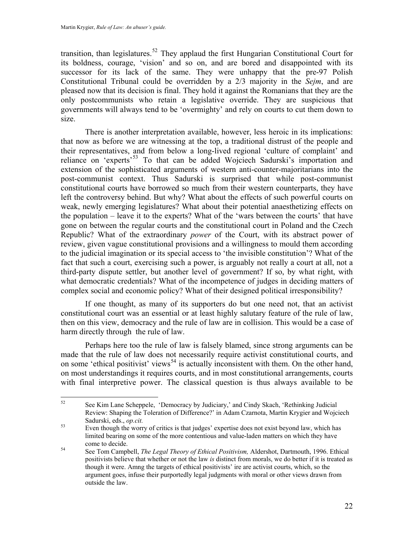transition, than legislatures.<sup>[52](#page-21-0)</sup> They applaud the first Hungarian Constitutional Court for its boldness, courage, 'vision' and so on, and are bored and disappointed with its successor for its lack of the same. They were unhappy that the pre-97 Polish Constitutional Tribunal could be overridden by a 2/3 majority in the *Sejm*, and are pleased now that its decision is final. They hold it against the Romanians that they are the only postcommunists who retain a legislative override. They are suspicious that governments will always tend to be 'overmighty' and rely on courts to cut them down to size.

There is another interpretation available, however, less heroic in its implications: that now as before we are witnessing at the top, a traditional distrust of the people and their representatives, and from below a long-lived regional 'culture of complaint' and reliance on 'experts<sup>5[53](#page-21-1)</sup> To that can be added Wojciech Sadurski's importation and extension of the sophisticated arguments of western anti-counter-majoritarians into the post-communist context. Thus Sadurski is surprised that while post-communist constitutional courts have borrowed so much from their western counterparts, they have left the controversy behind. But why? What about the effects of such powerful courts on weak, newly emerging legislatures? What about their potential anaesthetizing effects on the population – leave it to the experts? What of the 'wars between the courts' that have gone on between the regular courts and the constitutional court in Poland and the Czech Republic? What of the extraordinary *power* of the Court, with its abstract power of review, given vague constitutional provisions and a willingness to mould them according to the judicial imagination or its special access to 'the invisible constitution'? What of the fact that such a court, exercising such a power, is arguably not really a court at all, not a third-party dispute settler, but another level of government? If so, by what right, with what democratic credentials? What of the incompetence of judges in deciding matters of complex social and economic policy? What of their designed political irresponsibility?

If one thought, as many of its supporters do but one need not, that an activist constitutional court was an essential or at least highly salutary feature of the rule of law, then on this view, democracy and the rule of law are in collision. This would be a case of harm directly through the rule of law.

Perhaps here too the rule of law is falsely blamed, since strong arguments can be made that the rule of law does not necessarily require activist constitutional courts, and on some 'ethical positivist' views<sup>[54](#page-21-2)</sup> is actually inconsistent with them. On the other hand, on most understandings it requires courts, and in most constitutional arrangements, courts with final interpretive power. The classical question is thus always available to be

<span id="page-21-0"></span><sup>52</sup> 52 See Kim Lane Scheppele, 'Democracy by Judiciary,' and Cindy Skach, 'Rethinking Judicial Review: Shaping the Toleration of Difference?' in Adam Czarnota, Martin Krygier and Wojciech Sadurski, eds., *op.cit.*<br><sup>53</sup> Even though the worry of critics is that judges' expertise does not exist beyond law, which has

<span id="page-21-1"></span>limited bearing on some of the more contentious and value-laden matters on which they have come to decide. 54 See Tom Campbell, *The Legal Theory of Ethical Positivism,* Aldershot, Dartmouth, 1996. Ethical

<span id="page-21-2"></span>positivists believe that whether or not the law *is* distinct from morals, we do better if it is treated as though it were. Amng the targets of ethical positivists' ire are activist courts, which, so the argument goes, infuse their purportedly legal judgments with moral or other views drawn from outside the law.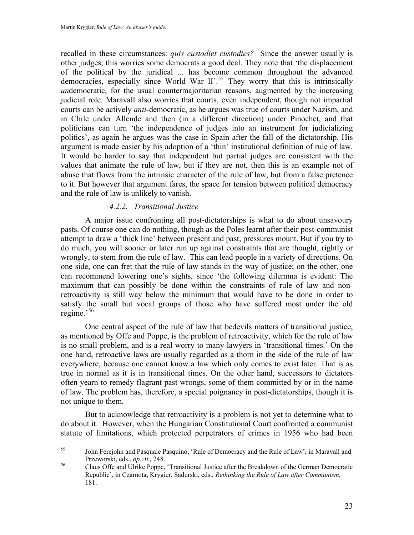recalled in these circumstances: *quis custodiet custodies?* Since the answer usually is other judges, this worries some democrats a good deal. They note that 'the displacement of the political by the juridical ... has become common throughout the advanced democracies, especially since World War  $II'$ .<sup>[55](#page-22-0)</sup> They worry that this is intrinsically *un*democratic, for the usual countermajoritarian reasons, augmented by the increasing judicial role. Maravall also worries that courts, even independent, though not impartial courts can be actively *anti-*democratic, as he argues was true of courts under Nazism, and in Chile under Allende and then (in a different direction) under Pinochet, and that politicians can turn 'the independence of judges into an instrument for judicializing politics', as again he argues was the case in Spain after the fall of the dictatorship. His argument is made easier by his adoption of a 'thin' institutional definition of rule of law. It would be harder to say that independent but partial judges are consistent with the values that animate the rule of law, but if they are not, then this is an example not of abuse that flows from the intrinsic character of the rule of law, but from a false pretence to it. But however that argument fares, the space for tension between political democracy and the rule of law is unlikely to vanish.

#### *4.2.2. Transitional Justice*

A major issue confronting all post-dictatorships is what to do about unsavoury pasts. Of course one can do nothing, though as the Poles learnt after their post-communist attempt to draw a 'thick line' between present and past, pressures mount. But if you try to do much, you will sooner or later run up against constraints that are thought, rightly or wrongly, to stem from the rule of law. This can lead people in a variety of directions. On one side, one can fret that the rule of law stands in the way of justice; on the other, one can recommend lowering one's sights, since 'the following dilemma is evident: The maximum that can possibly be done within the constraints of rule of law and nonretroactivity is still way below the minimum that would have to be done in order to satisfy the small but vocal groups of those who have suffered most under the old regime.'[56](#page-22-1)

One central aspect of the rule of law that bedevils matters of transitional justice, as mentioned by Offe and Poppe, is the problem of retroactivity, which for the rule of law is no small problem, and is a real worry to many lawyers in 'transitional times.' On the one hand, retroactive laws are usually regarded as a thorn in the side of the rule of law everywhere, because one cannot know a law which only comes to exist later. That is as true in normal as it is in transitional times. On the other hand, successors to dictators often yearn to remedy flagrant past wrongs, some of them committed by or in the name of law. The problem has, therefore, a special poignancy in post-dictatorships, though it is not unique to them.

But to acknowledge that retroactivity is a problem is not yet to determine what to do about it. However, when the Hungarian Constitutional Court confronted a communist statute of limitations, which protected perpetrators of crimes in 1956 who had been

<span id="page-22-0"></span><sup>55</sup> 55 John Ferejohn and Pasquale Pasquino, 'Rule of Democracy and the Rule of Law', in Maravall and Przeworski, eds., *op.cit.,* 248. 56 Claus Offe and Ulrike Poppe, 'Transitional Justice after the Breakdown of the German Democratic

<span id="page-22-1"></span>Republic', in Czarnota, Krygier, Sadurski, eds., *Rethinking the Rule of Law after Communism,*  181.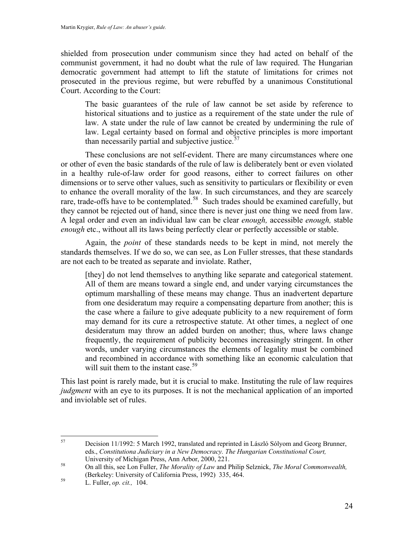shielded from prosecution under communism since they had acted on behalf of the communist government, it had no doubt what the rule of law required. The Hungarian democratic government had attempt to lift the statute of limitations for crimes not prosecuted in the previous regime, but were rebuffed by a unanimous Constitutional Court. According to the Court:

The basic guarantees of the rule of law cannot be set aside by reference to historical situations and to justice as a requirement of the state under the rule of law. A state under the rule of law cannot be created by undermining the rule of law. Legal certainty based on formal and objective principles is more important than necessarily partial and subjective justice. $57$ 

These conclusions are not self-evident. There are many circumstances where one or other of even the basic standards of the rule of law is deliberately bent or even violated in a healthy rule-of-law order for good reasons, either to correct failures on other dimensions or to serve other values, such as sensitivity to particulars or flexibility or even to enhance the overall morality of the law. In such circumstances, and they are scarcely rare, trade-offs have to be contemplated.<sup>[58](#page-23-1)</sup> Such trades should be examined carefully, but they cannot be rejected out of hand, since there is never just one thing we need from law. A legal order and even an individual law can be clear *enough,* accessible *enough,* stable *enough* etc., without all its laws being perfectly clear or perfectly accessible or stable.

Again, the *point* of these standards needs to be kept in mind, not merely the standards themselves. If we do so, we can see, as Lon Fuller stresses, that these standards are not each to be treated as separate and inviolate. Rather,

[they] do not lend themselves to anything like separate and categorical statement. All of them are means toward a single end, and under varying circumstances the optimum marshalling of these means may change. Thus an inadvertent departure from one desideratum may require a compensating departure from another; this is the case where a failure to give adequate publicity to a new requirement of form may demand for its cure a retrospective statute. At other times, a neglect of one desideratum may throw an added burden on another; thus, where laws change frequently, the requirement of publicity becomes increasingly stringent. In other words, under varying circumstances the elements of legality must be combined and recombined in accordance with something like an economic calculation that will suit them to the instant case.<sup>[59](#page-23-2)</sup>

This last point is rarely made, but it is crucial to make. Instituting the rule of law requires *judgment* with an eye to its purposes. It is not the mechanical application of an imported and inviolable set of rules.

<span id="page-23-0"></span>57 57 Decision 11/1992: 5 March 1992, translated and reprinted in László Sólyom and Georg Brunner, eds., *Constitutiona Judiciary in a New Democracy. The Hungarian Constitutional Court,*  University of Michigan Press, Ann Arbor, 2000, 221. 58 On all this, see Lon Fuller, *The Morality of Law* and Philip Selznick, *The Moral Commonwealth,* 

<span id="page-23-1"></span>(Berkeley: University of California Press, 1992) 335, 464. 59 L. Fuller, *op. cit.,* 104.

<span id="page-23-2"></span>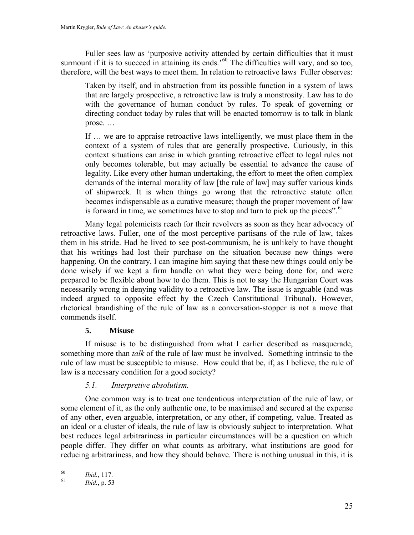Fuller sees law as 'purposive activity attended by certain difficulties that it must surmount if it is to succeed in attaining its ends.'<sup>[60](#page-24-0)</sup> The difficulties will vary, and so too, therefore, will the best ways to meet them. In relation to retroactive laws Fuller observes:

Taken by itself, and in abstraction from its possible function in a system of laws that are largely prospective, a retroactive law is truly a monstrosity. Law has to do with the governance of human conduct by rules. To speak of governing or directing conduct today by rules that will be enacted tomorrow is to talk in blank prose. …

If … we are to appraise retroactive laws intelligently, we must place them in the context of a system of rules that are generally prospective. Curiously, in this context situations can arise in which granting retroactive effect to legal rules not only becomes tolerable, but may actually be essential to advance the cause of legality. Like every other human undertaking, the effort to meet the often complex demands of the internal morality of law [the rule of law] may suffer various kinds of shipwreck. It is when things go wrong that the retroactive statute often becomes indispensable as a curative measure; though the proper movement of law is forward in time, we sometimes have to stop and turn to pick up the pieces".  $61$ 

Many legal polemicists reach for their revolvers as soon as they hear advocacy of retroactive laws. Fuller, one of the most perceptive partisans of the rule of law, takes them in his stride. Had he lived to see post-communism, he is unlikely to have thought that his writings had lost their purchase on the situation because new things were happening. On the contrary, I can imagine him saying that these new things could only be done wisely if we kept a firm handle on what they were being done for, and were prepared to be flexible about how to do them. This is not to say the Hungarian Court was necessarily wrong in denying validity to a retroactive law. The issue is arguable (and was indeed argued to opposite effect by the Czech Constitutional Tribunal). However, rhetorical brandishing of the rule of law as a conversation-stopper is not a move that commends itself.

#### **5. Misuse**

If misuse is to be distinguished from what I earlier described as masquerade, something more than *talk* of the rule of law must be involved. Something intrinsic to the rule of law must be susceptible to misuse. How could that be, if, as I believe, the rule of law is a necessary condition for a good society?

#### *5.1. Interpretive absolutism.*

One common way is to treat one tendentious interpretation of the rule of law, or some element of it, as the only authentic one, to be maximised and secured at the expense of any other, even arguable, interpretation, or any other, if competing, value. Treated as an ideal or a cluster of ideals, the rule of law is obviously subject to interpretation. What best reduces legal arbitrariness in particular circumstances will be a question on which people differ. They differ on what counts as arbitrary, what institutions are good for reducing arbitrariness, and how they should behave. There is nothing unusual in this, it is

<span id="page-24-0"></span><sup>60</sup> 

<span id="page-24-1"></span><sup>60</sup>*Ibid.*, 117. 61 *Ibid.*, p. 53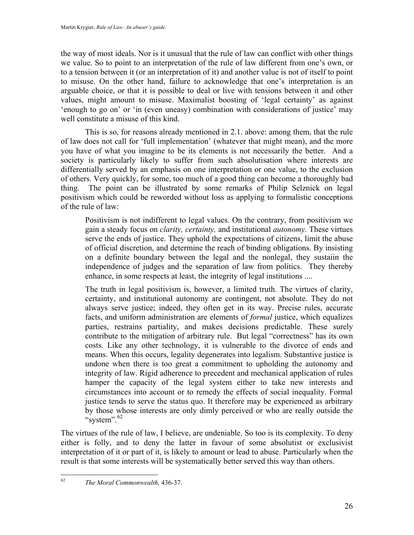the way of most ideals. Nor is it unusual that the rule of law can conflict with other things we value. So to point to an interpretation of the rule of law different from one's own, or to a tension between it (or an interpretation of it) and another value is not of itself to point to misuse. On the other hand, failure to acknowledge that one's interpretation is an arguable choice, or that it is possible to deal or live with tensions between it and other values, might amount to misuse. Maximalist boosting of 'legal certainty' as against 'enough to go on' or 'in (even uneasy) combination with considerations of justice' may well constitute a misuse of this kind.

This is so, for reasons already mentioned in 2.1. above: among them, that the rule of law does not call for 'full implementation' (whatever that might mean), and the more you have of what you imagine to be its elements is not necessarily the better. And a society is particularly likely to suffer from such absolutisation where interests are differentially served by an emphasis on one interpretation or one value, to the exclusion of others. Very quickly, for some, too much of a good thing can become a thoroughly bad thing. The point can be illustrated by some remarks of Philip Selznick on legal positivism which could be reworded without loss as applying to formalistic conceptions of the rule of law:

Positivism is not indifferent to legal values. On the contrary, from positivism we gain a steady focus on *clarity, certainty,* and institutional *autonomy.* These virtues serve the ends of justice. They uphold the expectations of citizens, limit the abuse of official discretion, and determine the reach of binding obligations. By insisting on a definite boundary between the legal and the nonlegal, they sustaiin the independence of judges and the separation of law from politics. They thereby enhance, in some respects at least, the integrity of legal institutions ....

The truth in legal positivism is, however, a limited truth. The virtues of clarity, certainty, and institutional autonomy are contingent, not absolute. They do not always serve justice; indeed, they often get in its way. Precise rules, accurate facts, and uniform administration are elements of *formal* justice, which equalizes parties, restrains partiality, and makes decisions predictable. These surely contribute to the mitigation of arbitrary rule. But legal "correctness" has its own costs. Like any other technology, it is vulnerable to the divorce of ends and means. When this occurs, legality degenerates into legalism. Substantive justice is undone when there is too great a commitment to upholding the autonomy and integrity of law. Rigid adherence to precedent and mechanical application of rules hamper the capacity of the legal system either to take new interests and circumstances into account or to remedy the effects of social inequality. Formal justice tends to serve the status quo. It therefore may be experienced as arbitrary by those whose interests are only dimly perceived or who are really outside the "system". $^{62}$  $^{62}$  $^{62}$ 

The virtues of the rule of law, I believe, are undeniable. So too is its complexity. To deny either is folly, and to deny the latter in favour of some absolutist or exclusivist interpretation of it or part of it, is likely to amount or lead to abuse. Particularly when the result is that some interests will be systematically better served this way than others.

<span id="page-25-0"></span> $62$ <sup>62</sup> *The Moral Commonwealth,* 436-37.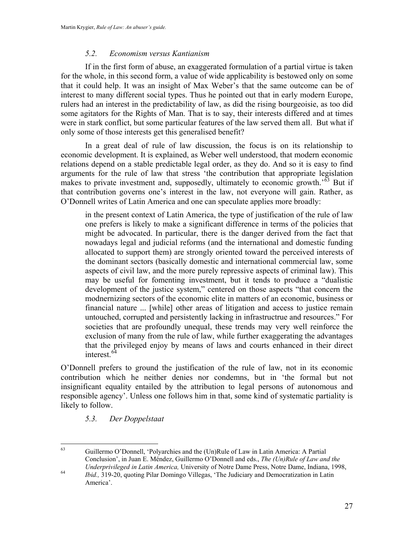#### *5.2. Economism versus Kantianism*

If in the first form of abuse, an exaggerated formulation of a partial virtue is taken for the whole, in this second form, a value of wide applicability is bestowed only on some that it could help. It was an insight of Max Weber's that the same outcome can be of interest to many different social types. Thus he pointed out that in early modern Europe, rulers had an interest in the predictability of law, as did the rising bourgeoisie, as too did some agitators for the Rights of Man. That is to say, their interests differed and at times were in stark conflict, but some particular features of the law served them all. But what if only some of those interests get this generalised benefit?

In a great deal of rule of law discussion, the focus is on its relationship to economic development. It is explained, as Weber well understood, that modern economic relations depend on a stable predictable legal order, as they do. And so it is easy to find arguments for the rule of law that stress 'the contribution that appropriate legislation makes to private investment and, supposedly, ultimately to economic growth.<sup>[63](#page-26-0)</sup> But if that contribution governs one's interest in the law, not everyone will gain. Rather, as O'Donnell writes of Latin America and one can speculate applies more broadly:

in the present context of Latin America, the type of justification of the rule of law one prefers is likely to make a significant difference in terms of the policies that might be advocated. In particular, there is the danger derived from the fact that nowadays legal and judicial reforms (and the international and domestic funding allocated to support them) are strongly oriented toward the perceived interests of the dominant sectors (basically domestic and international commercial law, some aspects of civil law, and the more purely repressive aspects of criminal law). This may be useful for fomenting investment, but it tends to produce a "dualistic development of the justice system," centered on those aspects "that concern the modnernizing sectors of the economic elite in matters of an economic, business or financial nature ... [while] other areas of litigation and access to justice remain untouched, corrupted and persistently lacking in infrastructrue and resources." For societies that are profoundly unequal, these trends may very well reinforce the exclusion of many from the rule of law, while further exaggerating the advantages that the privileged enjoy by means of laws and courts enhanced in their direct interest.<sup>[64](#page-26-1)</sup>

O'Donnell prefers to ground the justification of the rule of law, not in its economic contribution which he neither denies nor condemns, but in 'the formal but not insignificant equality entailed by the attribution to legal persons of autonomous and responsible agency'. Unless one follows him in that, some kind of systematic partiality is likely to follow.

#### *5.3. Der Doppelstaat*

<span id="page-26-0"></span><sup>63</sup> 63 Guillermo O'Donnell, 'Polyarchies and the (Un)Rule of Law in Latin America: A Partial Conclusion', in Juan E. Méndez, Guillermo O'Donnell and eds., *The (Un)Rule of Law and the* 

<span id="page-26-1"></span>*Underprivileged in Latin America, University of Notre Dame Press, Notre Dame, Indiana, 1998,*<br>*Ibid., 319-20, quoting Pilar Domingo Villegas, 'The Judiciary and Democratization in Latin* America'.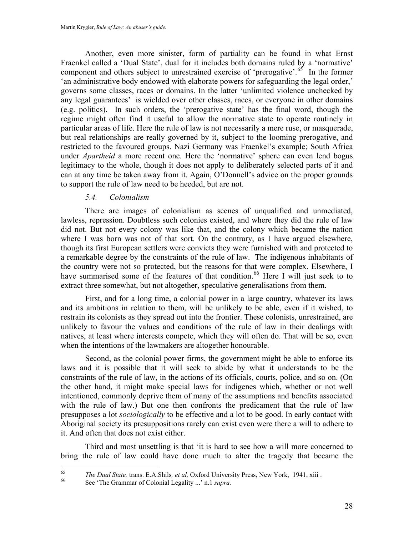Another, even more sinister, form of partiality can be found in what Ernst Fraenkel called a 'Dual State', dual for it includes both domains ruled by a 'normative' component and others subject to unrestrained exercise of 'prerogative'.<sup>[65](#page-27-0)</sup> In the former 'an administrative body endowed with elaborate powers for safeguarding the legal order,' governs some classes, races or domains. In the latter 'unlimited violence unchecked by any legal guarantees' is wielded over other classes, races, or everyone in other domains (e.g. politics). In such orders, the 'prerogative state' has the final word, though the regime might often find it useful to allow the normative state to operate routinely in particular areas of life. Here the rule of law is not necessarily a mere ruse, or masquerade, but real relationships are really governed by it, subject to the looming prerogative, and restricted to the favoured groups. Nazi Germany was Fraenkel's example; South Africa under *Apartheid* a more recent one. Here the 'normative' sphere can even lend bogus legitimacy to the whole, though it does not apply to deliberately selected parts of it and can at any time be taken away from it. Again, O'Donnell's advice on the proper grounds to support the rule of law need to be heeded, but are not.

#### *5.4. Colonialism*

There are images of colonialism as scenes of unqualified and unmediated, lawless, repression. Doubtless such colonies existed, and where they did the rule of law did not. But not every colony was like that, and the colony which became the nation where I was born was not of that sort. On the contrary, as I have argued elsewhere, though its first European settlers were convicts they were furnished with and protected to a remarkable degree by the constraints of the rule of law. The indigenous inhabitants of the country were not so protected, but the reasons for that were complex. Elsewhere, I have summarised some of the features of that condition.<sup>[66](#page-27-1)</sup> Here I will just seek to to extract three somewhat, but not altogether, speculative generalisations from them.

First, and for a long time, a colonial power in a large country, whatever its laws and its ambitions in relation to them, will be unlikely to be able, even if it wished, to restrain its colonists as they spread out into the frontier. These colonists, unrestrained, are unlikely to favour the values and conditions of the rule of law in their dealings with natives, at least where interests compete, which they will often do. That will be so, even when the intentions of the lawmakers are altogether honourable.

Second, as the colonial power firms, the government might be able to enforce its laws and it is possible that it will seek to abide by what it understands to be the constraints of the rule of law, in the actions of its officials, courts, police, and so on. (On the other hand, it might make special laws for indigenes which, whether or not well intentioned, commonly deprive them of many of the assumptions and benefits associated with the rule of law.) But one then confronts the predicament that the rule of law presupposes a lot *sociologically* to be effective and a lot to be good. In early contact with Aboriginal society its presuppositions rarely can exist even were there a will to adhere to it. And often that does not exist either.

Third and most unsettling is that 'it is hard to see how a will more concerned to bring the rule of law could have done much to alter the tragedy that became the

<span id="page-27-1"></span><span id="page-27-0"></span><sup>65</sup> <sup>65</sup>*The Dual State,* trans. E.A.Shils, *et al*, Oxford University Press, New York, 1941, xiii . See 'The Grammar of Colonial Legality ...' n.1 *supra*.